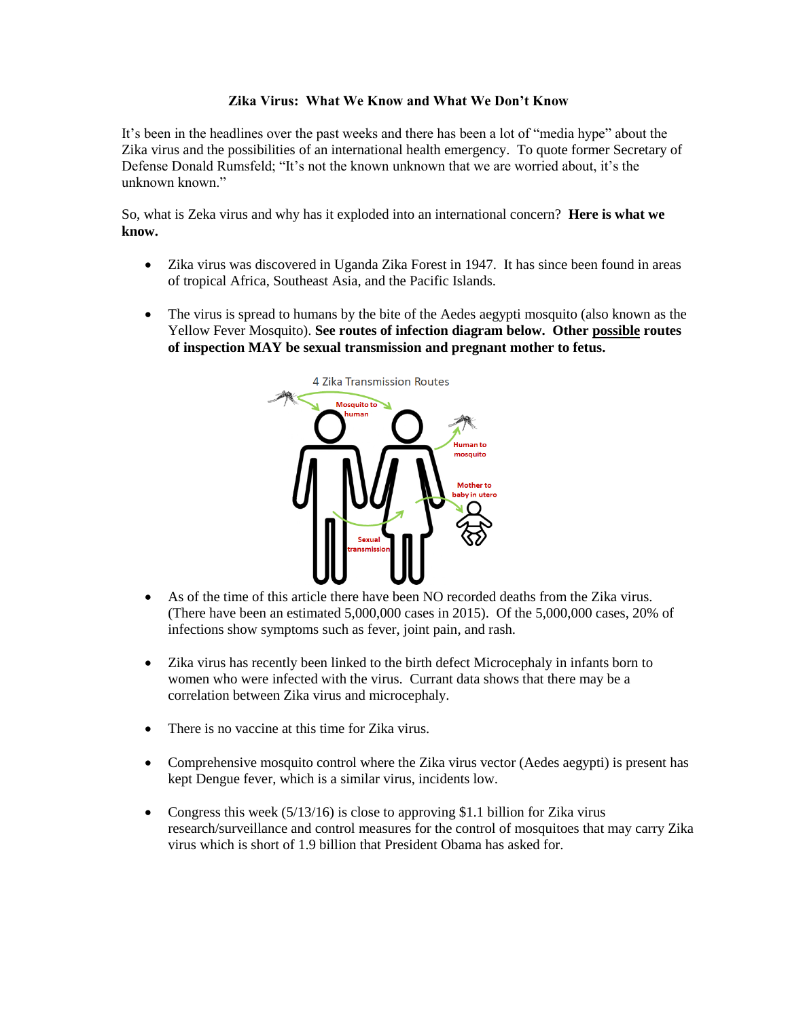## **Zika Virus: What We Know and What We Don't Know**

It's been in the headlines over the past weeks and there has been a lot of "media hype" about the Zika virus and the possibilities of an international health emergency. To quote former Secretary of Defense Donald Rumsfeld; "It's not the known unknown that we are worried about, it's the unknown known."

So, what is Zeka virus and why has it exploded into an international concern? **Here is what we know.**

- Zika virus was discovered in Uganda Zika Forest in 1947. It has since been found in areas of tropical Africa, Southeast Asia, and the Pacific Islands.
- The virus is spread to humans by the bite of the Aedes aegypti mosquito (also known as the Yellow Fever Mosquito). **See routes of infection diagram below. Other possible routes of inspection MAY be sexual transmission and pregnant mother to fetus.**



- As of the time of this article there have been NO recorded deaths from the Zika virus. (There have been an estimated 5,000,000 cases in 2015). Of the 5,000,000 cases, 20% of infections show symptoms such as fever, joint pain, and rash.
- Zika virus has recently been linked to the birth defect Microcephaly in infants born to women who were infected with the virus. Currant data shows that there may be a correlation between Zika virus and microcephaly.
- There is no vaccine at this time for Zika virus.
- Comprehensive mosquito control where the Zika virus vector (Aedes aegypti) is present has kept Dengue fever, which is a similar virus, incidents low.
- Congress this week (5/13/16) is close to approving \$1.1 billion for Zika virus research/surveillance and control measures for the control of mosquitoes that may carry Zika virus which is short of 1.9 billion that President Obama has asked for.